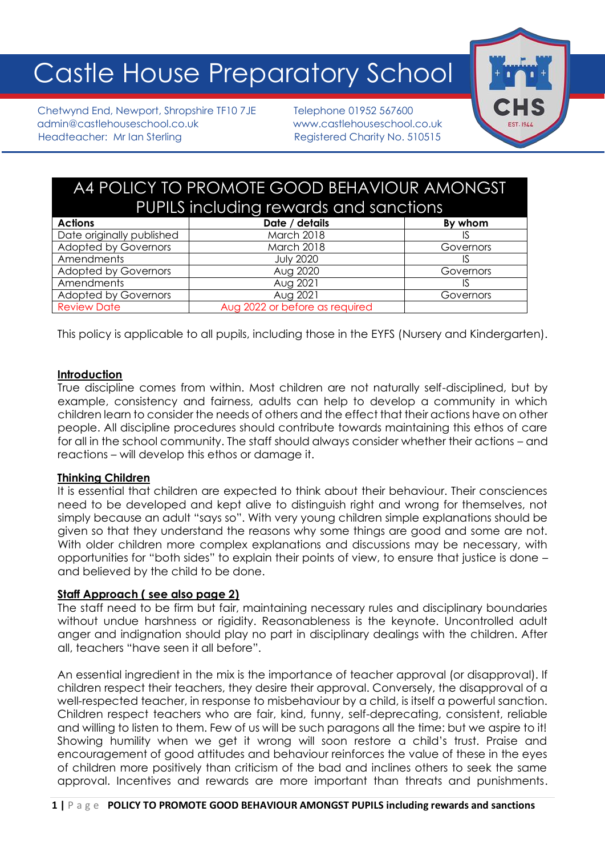# Castle House Preparatory School

Chetwynd End, Newport, Shropshire TF10 7JE Telephone 01952 567600 admin@castlehouseschool.co.uk www.castlehouseschool.co.uk Headteacher: Mr Ian Sterling Registered Charity No. 510515



# A4 POLICY TO PROMOTE GOOD BEHAVIOUR AMONGST PUPILS including rewards and sanctions

| <b>Actions</b>              | Date / details                 | By whom   |
|-----------------------------|--------------------------------|-----------|
| Date originally published   | March 2018                     |           |
| <b>Adopted by Governors</b> | <b>March 2018</b>              | Governors |
| Amendments                  | <b>July 2020</b>               |           |
| <b>Adopted by Governors</b> | Aug 2020                       | Governors |
| Amendments                  | Aug 2021                       |           |
| <b>Adopted by Governors</b> | Aug 2021                       | Governors |
| <b>Review Date</b>          | Aug 2022 or before as required |           |

This policy is applicable to all pupils, including those in the EYFS (Nursery and Kindergarten).

#### **Introduction**

True discipline comes from within. Most children are not naturally self-disciplined, but by example, consistency and fairness, adults can help to develop a community in which children learn to consider the needs of others and the effect that their actions have on other people. All discipline procedures should contribute towards maintaining this ethos of care for all in the school community. The staff should always consider whether their actions – and reactions – will develop this ethos or damage it.

# **Thinking Children**

It is essential that children are expected to think about their behaviour. Their consciences need to be developed and kept alive to distinguish right and wrong for themselves, not simply because an adult "says so". With very young children simple explanations should be given so that they understand the reasons why some things are good and some are not. With older children more complex explanations and discussions may be necessary, with opportunities for "both sides" to explain their points of view, to ensure that justice is done – and believed by the child to be done.

# **Staff Approach ( see also page 2)**

The staff need to be firm but fair, maintaining necessary rules and disciplinary boundaries without undue harshness or rigidity. Reasonableness is the keynote. Uncontrolled adult anger and indignation should play no part in disciplinary dealings with the children. After all, teachers "have seen it all before".

An essential ingredient in the mix is the importance of teacher approval (or disapproval). If children respect their teachers, they desire their approval. Conversely, the disapproval of a well-respected teacher, in response to misbehaviour by a child, is itself a powerful sanction. Children respect teachers who are fair, kind, funny, self-deprecating, consistent, reliable and willing to listen to them. Few of us will be such paragons all the time: but we aspire to it! Showing humility when we get it wrong will soon restore a child's trust. Praise and encouragement of good attitudes and behaviour reinforces the value of these in the eyes of children more positively than criticism of the bad and inclines others to seek the same approval. Incentives and rewards are more important than threats and punishments.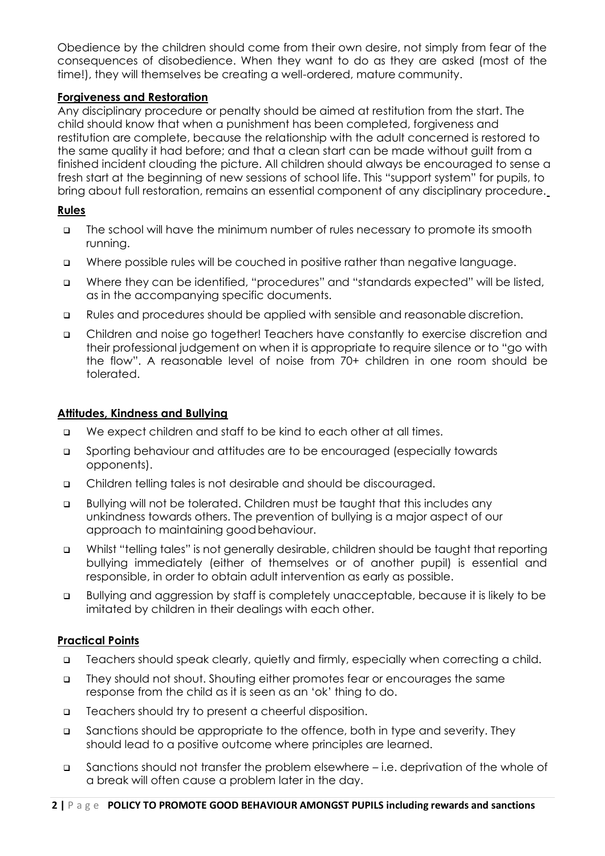Obedience by the children should come from their own desire, not simply from fear of the consequences of disobedience. When they want to do as they are asked (most of the time!), they will themselves be creating a well-ordered, mature community.

# **Forgiveness and Restoration**

Any disciplinary procedure or penalty should be aimed at restitution from the start. The child should know that when a punishment has been completed, forgiveness and restitution are complete, because the relationship with the adult concerned is restored to the same quality it had before; and that a clean start can be made without guilt from a finished incident clouding the picture. All children should always be encouraged to sense a fresh start at the beginning of new sessions of school life. This "support system" for pupils, to bring about full restoration, remains an essential component of any disciplinary procedure.

#### **Rules**

- ❑ The school will have the minimum number of rules necessary to promote its smooth running.
- ❑ Where possible rules will be couched in positive rather than negative language.
- ❑ Where they can be identified, "procedures" and "standards expected" will be listed, as in the accompanying specific documents.
- ❑ Rules and procedures should be applied with sensible and reasonable discretion.
- ❑ Children and noise go together! Teachers have constantly to exercise discretion and their professional judgement on when it is appropriate to require silence or to "go with the flow". A reasonable level of noise from 70+ children in one room should be tolerated.

#### **Attitudes, Kindness and Bullying**

- ❑ We expect children and staff to be kind to each other at all times.
- ❑ Sporting behaviour and attitudes are to be encouraged (especially towards opponents).
- ❑ Children telling tales is not desirable and should be discouraged.
- ❑ Bullying will not be tolerated. Children must be taught that this includes any unkindness towards others. The prevention of bullying is a major aspect of our approach to maintaining goodbehaviour.
- ❑ Whilst "telling tales" is not generally desirable, children should be taught that reporting bullying immediately (either of themselves or of another pupil) is essential and responsible, in order to obtain adult intervention as early as possible.
- ❑ Bullying and aggression by staff is completely unacceptable, because it is likely to be imitated by children in their dealings with each other.

# **Practical Points**

- ❑ Teachers should speak clearly, quietly and firmly, especially when correcting a child.
- ❑ They should not shout. Shouting either promotes fear or encourages the same response from the child as it is seen as an 'ok' thing to do.
- ❑ Teachers should try to present a cheerful disposition.
- ❑ Sanctions should be appropriate to the offence, both in type and severity. They should lead to a positive outcome where principles are learned.
- ❑ Sanctions should not transfer the problem elsewhere i.e. deprivation of the whole of a break will often cause a problem later in the day.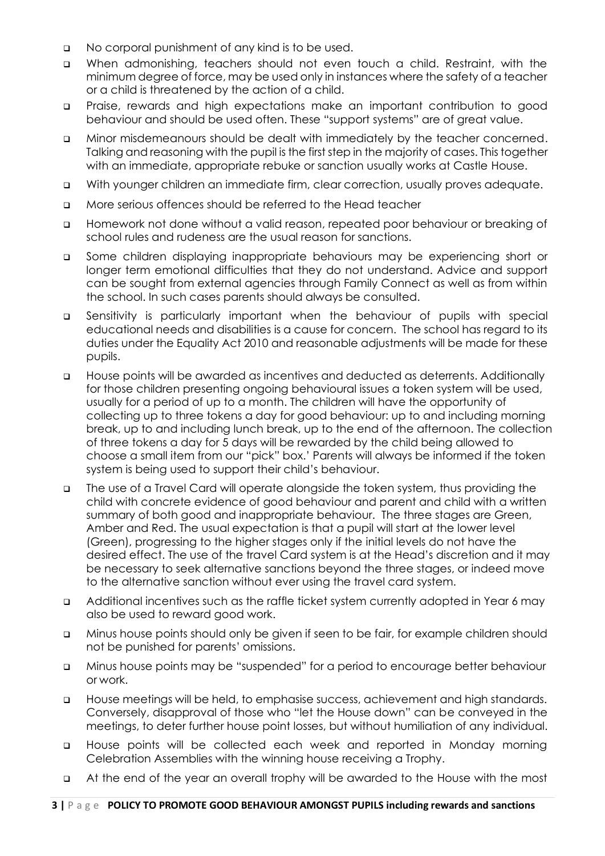- ❑ No corporal punishment of any kind is to be used.
- ❑ When admonishing, teachers should not even touch a child. Restraint, with the minimum degree of force, may be used only in instances where the safety of a teacher or a child is threatened by the action of a child.
- ❑ Praise, rewards and high expectations make an important contribution to good behaviour and should be used often. These "support systems" are of great value.
- ❑ Minor misdemeanours should be dealt with immediately by the teacher concerned. Talking and reasoning with the pupil is the first step in the majority of cases. This together with an immediate, appropriate rebuke or sanction usually works at Castle House.
- ❑ With younger children an immediate firm, clear correction, usually proves adequate.
- ❑ More serious offences should be referred to the Head teacher
- ❑ Homework not done without a valid reason, repeated poor behaviour or breaking of school rules and rudeness are the usual reason for sanctions.
- ❑ Some children displaying inappropriate behaviours may be experiencing short or longer term emotional difficulties that they do not understand. Advice and support can be sought from external agencies through Family Connect as well as from within the school. In such cases parents should always be consulted.
- ❑ Sensitivity is particularly important when the behaviour of pupils with special educational needs and disabilities is a cause for concern. The school has regard to its duties under the Equality Act 2010 and reasonable adjustments will be made for these pupils.
- ❑ House points will be awarded as incentives and deducted as deterrents. Additionally for those children presenting ongoing behavioural issues a token system will be used, usually for a period of up to a month. The children will have the opportunity of collecting up to three tokens a day for good behaviour: up to and including morning break, up to and including lunch break, up to the end of the afternoon. The collection of three tokens a day for 5 days will be rewarded by the child being allowed to choose a small item from our "pick" box.' Parents will always be informed if the token system is being used to support their child's behaviour.
- ❑ The use of a Travel Card will operate alongside the token system, thus providing the child with concrete evidence of good behaviour and parent and child with a written summary of both good and inappropriate behaviour. The three stages are Green, Amber and Red. The usual expectation is that a pupil will start at the lower level (Green), progressing to the higher stages only if the initial levels do not have the desired effect. The use of the travel Card system is at the Head's discretion and it may be necessary to seek alternative sanctions beyond the three stages, or indeed move to the alternative sanction without ever using the travel card system.
- ❑ Additional incentives such as the raffle ticket system currently adopted in Year 6 may also be used to reward good work.
- ❑ Minus house points should only be given if seen to be fair, for example children should not be punished for parents' omissions.
- ❑ Minus house points may be "suspended" for a period to encourage better behaviour or work.
- ❑ House meetings will be held, to emphasise success, achievement and high standards. Conversely, disapproval of those who "let the House down" can be conveyed in the meetings, to deter further house point losses, but without humiliation of any individual.
- ❑ House points will be collected each week and reported in Monday morning Celebration Assemblies with the winning house receiving a Trophy.
- ❑ At the end of the year an overall trophy will be awarded to the House with the most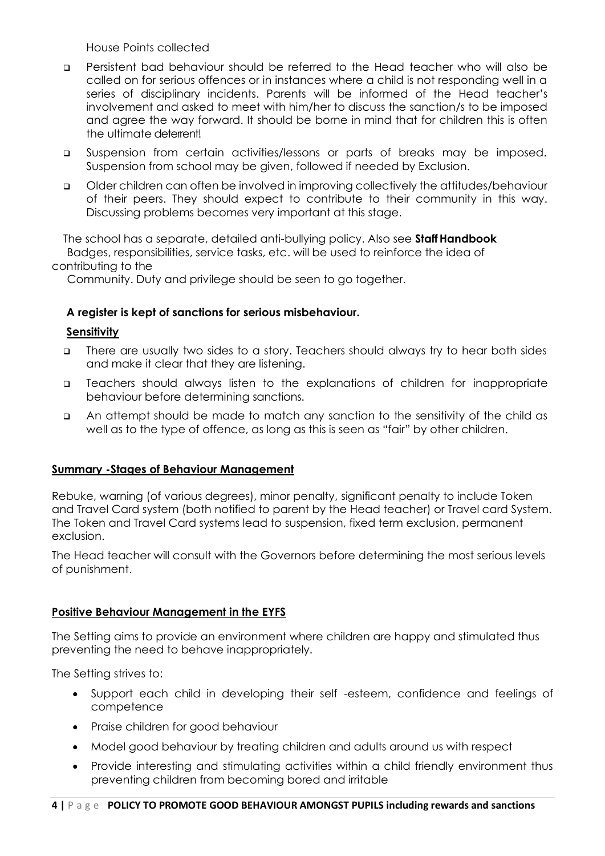House Points collected

- ❑ Persistent bad behaviour should be referred to the Head teacher who will also be called on for serious offences or in instances where a child is not responding well in a series of disciplinary incidents. Parents will be informed of the Head teacher's involvement and asked to meet with him/her to discuss the sanction/s to be imposed and agree the way forward. It should be borne in mind that for children this is often the ultimate deterrent!
- ❑ Suspension from certain activities/lessons or parts of breaks may be imposed. Suspension from school may be given, followed if needed by Exclusion.
- ❑ Older children can often be involved in improving collectively the attitudes/behaviour of their peers. They should expect to contribute to their community in this way. Discussing problems becomes very important at this stage.

The school has a separate, detailed anti-bullying policy. Also see **StaffHandbook** Badges, responsibilities, service tasks, etc. will be used to reinforce the idea of contributing to the

Community. Duty and privilege should be seen to go together.

# **A register is kept of sanctions for serious misbehaviour.**

#### **Sensitivity**

- ❑ There are usually two sides to a story. Teachers should always try to hear both sides and make it clear that they are listening.
- ❑ Teachers should always listen to the explanations of children for inappropriate behaviour before determining sanctions.
- ❑ An attempt should be made to match any sanction to the sensitivity of the child as well as to the type of offence, as long as this is seen as "fair" by other children.

#### **Summary -Stages of Behaviour Management**

Rebuke, warning (of various degrees), minor penalty, significant penalty to include Token and Travel Card system (both notified to parent by the Head teacher) or Travel card System. The Token and Travel Card systems lead to suspension, fixed term exclusion, permanent exclusion.

The Head teacher will consult with the Governors before determining the most serious levels of punishment.

# **Positive Behaviour Management in the EYFS**

The Setting aims to provide an environment where children are happy and stimulated thus preventing the need to behave inappropriately.

The Setting strives to:

- Support each child in developing their self -esteem, confidence and feelings of competence
- Praise children for good behaviour
- Model good behaviour by treating children and adults around us with respect
- Provide interesting and stimulating activities within a child friendly environment thus preventing children from becoming bored and irritable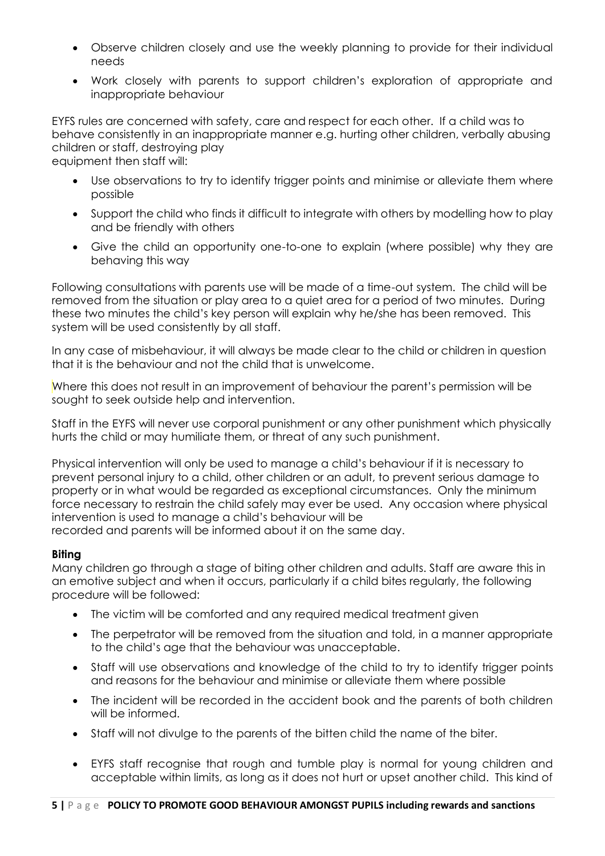- Observe children closely and use the weekly planning to provide for their individual needs
- Work closely with parents to support children's exploration of appropriate and inappropriate behaviour

EYFS rules are concerned with safety, care and respect for each other. If a child was to behave consistently in an inappropriate manner e.g. hurting other children, verbally abusing children or staff, destroying play

equipment then staff will:

- Use observations to try to identify trigger points and minimise or alleviate them where possible
- Support the child who finds it difficult to integrate with others by modelling how to play and be friendly with others
- Give the child an opportunity one-to-one to explain (where possible) why they are behaving this way

Following consultations with parents use will be made of a time-out system. The child will be removed from the situation or play area to a quiet area for a period of two minutes. During these two minutes the child's key person will explain why he/she has been removed. This system will be used consistently by all staff.

In any case of misbehaviour, it will always be made clear to the child or children in question that it is the behaviour and not the child that is unwelcome.

Where this does not result in an improvement of behaviour the parent's permission will be sought to seek outside help and intervention.

Staff in the EYFS will never use corporal punishment or any other punishment which physically hurts the child or may humiliate them, or threat of any such punishment.

Physical intervention will only be used to manage a child's behaviour if it is necessary to prevent personal injury to a child, other children or an adult, to prevent serious damage to property or in what would be regarded as exceptional circumstances. Only the minimum force necessary to restrain the child safely may ever be used. Any occasion where physical intervention is used to manage a child's behaviour will be recorded and parents will be informed about it on the same day.

# **Biting**

Many children go through a stage of biting other children and adults. Staff are aware this in an emotive subject and when it occurs, particularly if a child bites regularly, the following procedure will be followed:

- The victim will be comforted and any required medical treatment given
- The perpetrator will be removed from the situation and told, in a manner appropriate to the child's age that the behaviour was unacceptable.
- Staff will use observations and knowledge of the child to try to identify trigger points and reasons for the behaviour and minimise or alleviate them where possible
- The incident will be recorded in the accident book and the parents of both children will be informed.
- Staff will not divulge to the parents of the bitten child the name of the biter.
- EYFS staff recognise that rough and tumble play is normal for young children and acceptable within limits, as long as it does not hurt or upset another child. This kind of